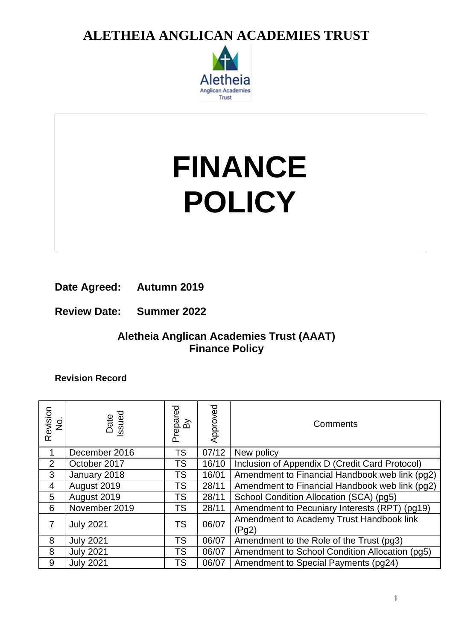

# **FINANCE POLICY**

**Date Agreed: Autumn 2019**

**Review Date: Summer 2022**

### **Aletheia Anglican Academies Trust (AAAT) Finance Policy**

**Revision Record**

| Revision<br>No. | Date<br>ssued    | repared<br>ିଥି<br>൨ | Approved | Comments                                          |
|-----------------|------------------|---------------------|----------|---------------------------------------------------|
|                 | December 2016    | TS                  | 07/12    | New policy                                        |
| $\overline{2}$  | October 2017     | TS                  | 16/10    | Inclusion of Appendix D (Credit Card Protocol)    |
| 3               | January 2018     | <b>TS</b>           | 16/01    | Amendment to Financial Handbook web link (pg2)    |
| 4               | August 2019      | TS                  | 28/11    | Amendment to Financial Handbook web link (pg2)    |
| 5               | August 2019      | TS                  | 28/11    | School Condition Allocation (SCA) (pg5)           |
| 6               | November 2019    | TS                  | 28/11    | Amendment to Pecuniary Interests (RPT) (pg19)     |
| 7               | <b>July 2021</b> | <b>TS</b>           | 06/07    | Amendment to Academy Trust Handbook link<br>(Pg2) |
| 8               | <b>July 2021</b> | <b>TS</b>           | 06/07    | Amendment to the Role of the Trust (pg3)          |
| 8               | <b>July 2021</b> | TS                  | 06/07    | Amendment to School Condition Allocation (pg5)    |
| 9               | <b>July 2021</b> | <b>TS</b>           | 06/07    | Amendment to Special Payments (pg24)              |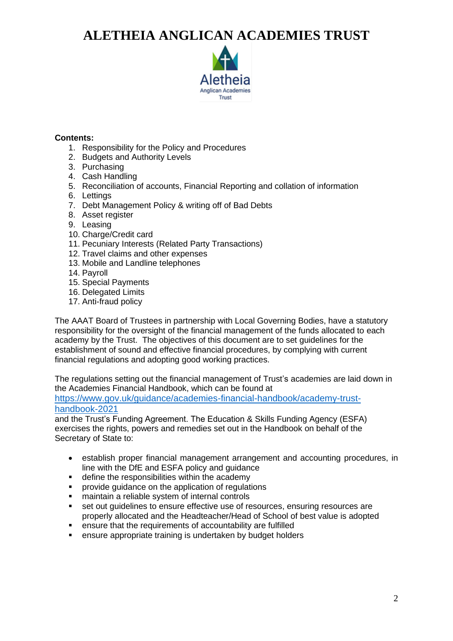

### **Contents:**

- 1. Responsibility for the Policy and Procedures
- 2. Budgets and Authority Levels
- 3. Purchasing
- 4. Cash Handling
- 5. Reconciliation of accounts, Financial Reporting and collation of information
- 6. Lettings
- 7. Debt Management Policy & writing off of Bad Debts
- 8. Asset register
- 9. Leasing
- 10. Charge/Credit card
- 11. Pecuniary Interests (Related Party Transactions)
- 12. Travel claims and other expenses
- 13. Mobile and Landline telephones
- 14. Payroll
- 15. Special Payments
- 16. Delegated Limits
- 17. Anti-fraud policy

The AAAT Board of Trustees in partnership with Local Governing Bodies, have a statutory responsibility for the oversight of the financial management of the funds allocated to each academy by the Trust. The objectives of this document are to set guidelines for the establishment of sound and effective financial procedures, by complying with current financial regulations and adopting good working practices.

The regulations setting out the financial management of Trust's academies are laid down in the Academies Financial Handbook, which can be found at

[https://www.gov.uk/guidance/academies-financial-handbook/academy-trust](https://www.gov.uk/guidance/academies-financial-handbook/academy-trust-handbook-2021)[handbook-2021](https://www.gov.uk/guidance/academies-financial-handbook/academy-trust-handbook-2021)

and the Trust's Funding Agreement. The Education & Skills Funding Agency (ESFA) exercises the rights, powers and remedies set out in the Handbook on behalf of the Secretary of State to:

- establish proper financial management arrangement and accounting procedures, in line with the DfE and ESFA policy and guidance
- define the responsibilities within the academy
- provide quidance on the application of regulations
- maintain a reliable system of internal controls
- set out guidelines to ensure effective use of resources, ensuring resources are properly allocated and the Headteacher/Head of School of best value is adopted
- ensure that the requirements of accountability are fulfilled
- ensure appropriate training is undertaken by budget holders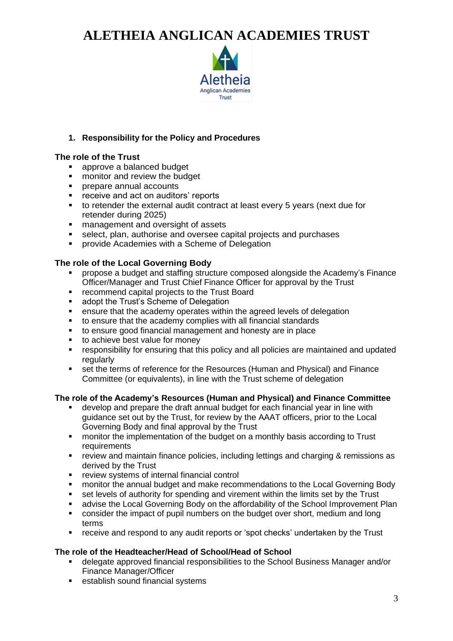

### **1. Responsibility for the Policy and Procedures**

### **The role of the Trust**

- approve a balanced budget<br>■ monitor and review the budd
- monitor and review the budget
- prepare annual accounts
- receive and act on auditors' reports
- to retender the external audit contract at least every 5 years (next due for retender during 2025)
- management and oversight of assets
- select, plan, authorise and oversee capital projects and purchases
- provide Academies with a Scheme of Delegation

### **The role of the Local Governing Body**

- propose a budget and staffing structure composed alongside the Academy's Finance Officer/Manager and Trust Chief Finance Officer for approval by the Trust
- recommend capital projects to the Trust Board
- adopt the Trust's Scheme of Delegation
- ensure that the academy operates within the agreed levels of delegation
- to ensure that the academy complies with all financial standards
- to ensure good financial management and honesty are in place
- to achieve best value for money
- responsibility for ensuring that this policy and all policies are maintained and updated regularly
- set the terms of reference for the Resources (Human and Physical) and Finance Committee (or equivalents), in line with the Trust scheme of delegation

### **The role of the Academy's Resources (Human and Physical) and Finance Committee**

- develop and prepare the draft annual budget for each financial year in line with guidance set out by the Trust, for review by the AAAT officers, prior to the Local Governing Body and final approval by the Trust
- monitor the implementation of the budget on a monthly basis according to Trust requirements
- review and maintain finance policies, including lettings and charging & remissions as derived by the Trust
- review systems of internal financial control
- monitor the annual budget and make recommendations to the Local Governing Body
- set levels of authority for spending and virement within the limits set by the Trust
- **advise the Local Governing Body on the affordability of the School Improvement Plan**
- consider the impact of pupil numbers on the budget over short, medium and long terms
- receive and respond to any audit reports or 'spot checks' undertaken by the Trust

### **The role of the Headteacher/Head of School/Head of School**

- delegate approved financial responsibilities to the School Business Manager and/or Finance Manager/Officer
- establish sound financial systems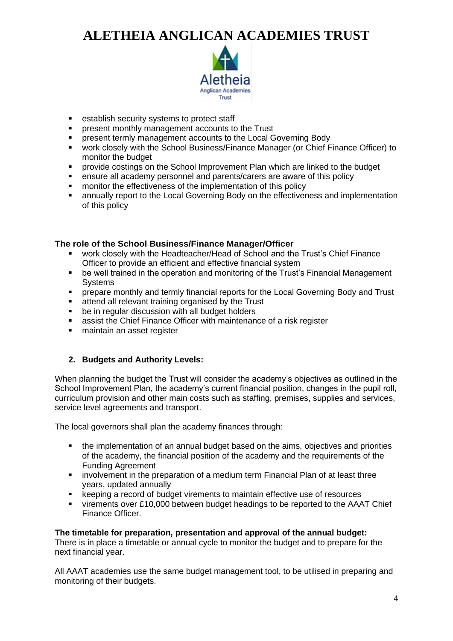

- establish security systems to protect staff
- present monthly management accounts to the Trust
- **EXECTE FIGHT PRESENT LIFE STATE IS A PRESENT LIFE SPECIES THE PRESENT FIGHTS**
- work closely with the School Business/Finance Manager (or Chief Finance Officer) to monitor the budget
- provide costings on the School Improvement Plan which are linked to the budget
- **ensure all academy personnel and parents/carers are aware of this policy**
- monitor the effectiveness of the implementation of this policy
- annually report to the Local Governing Body on the effectiveness and implementation of this policy

### **The role of the School Business/Finance Manager/Officer**

- work closely with the Headteacher/Head of School and the Trust's Chief Finance Officer to provide an efficient and effective financial system
- be well trained in the operation and monitoring of the Trust's Financial Management **Systems**
- **•** prepare monthly and termly financial reports for the Local Governing Body and Trust
- attend all relevant training organised by the Trust
- be in regular discussion with all budget holders
- assist the Chief Finance Officer with maintenance of a risk register
- maintain an asset register

### **2. Budgets and Authority Levels:**

When planning the budget the Trust will consider the academy's objectives as outlined in the School Improvement Plan, the academy's current financial position, changes in the pupil roll, curriculum provision and other main costs such as staffing, premises, supplies and services, service level agreements and transport.

The local governors shall plan the academy finances through:

- the implementation of an annual budget based on the aims, objectives and priorities of the academy, the financial position of the academy and the requirements of the Funding Agreement
- involvement in the preparation of a medium term Financial Plan of at least three years, updated annually
- keeping a record of budget virements to maintain effective use of resources
- virements over £10,000 between budget headings to be reported to the AAAT Chief Finance Officer.

### **The timetable for preparation, presentation and approval of the annual budget:**

There is in place a timetable or annual cycle to monitor the budget and to prepare for the next financial year.

All AAAT academies use the same budget management tool, to be utilised in preparing and monitoring of their budgets.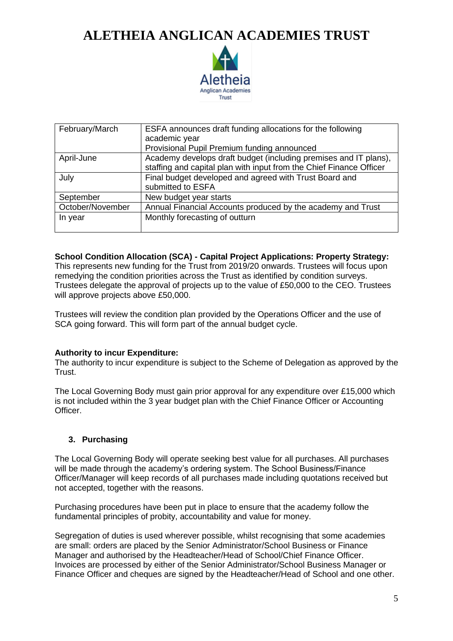

| February/March   | ESFA announces draft funding allocations for the following          |
|------------------|---------------------------------------------------------------------|
|                  | academic year                                                       |
|                  | Provisional Pupil Premium funding announced                         |
| April-June       | Academy develops draft budget (including premises and IT plans),    |
|                  | staffing and capital plan with input from the Chief Finance Officer |
| July             | Final budget developed and agreed with Trust Board and              |
|                  | submitted to ESFA                                                   |
| September        | New budget year starts                                              |
| October/November | Annual Financial Accounts produced by the academy and Trust         |
| In year          | Monthly forecasting of outturn                                      |
|                  |                                                                     |

**School Condition Allocation (SCA) - Capital Project Applications: Property Strategy:**

This represents new funding for the Trust from 2019/20 onwards. Trustees will focus upon remedying the condition priorities across the Trust as identified by condition surveys. Trustees delegate the approval of projects up to the value of £50,000 to the CEO. Trustees will approve projects above £50,000.

Trustees will review the condition plan provided by the Operations Officer and the use of SCA going forward. This will form part of the annual budget cycle.

### **Authority to incur Expenditure:**

The authority to incur expenditure is subject to the Scheme of Delegation as approved by the Trust.

The Local Governing Body must gain prior approval for any expenditure over £15,000 which is not included within the 3 year budget plan with the Chief Finance Officer or Accounting Officer.

### **3. Purchasing**

The Local Governing Body will operate seeking best value for all purchases. All purchases will be made through the academy's ordering system. The School Business/Finance Officer/Manager will keep records of all purchases made including quotations received but not accepted, together with the reasons.

Purchasing procedures have been put in place to ensure that the academy follow the fundamental principles of probity, accountability and value for money.

Segregation of duties is used wherever possible, whilst recognising that some academies are small: orders are placed by the Senior Administrator/School Business or Finance Manager and authorised by the Headteacher/Head of School/Chief Finance Officer. Invoices are processed by either of the Senior Administrator/School Business Manager or Finance Officer and cheques are signed by the Headteacher/Head of School and one other.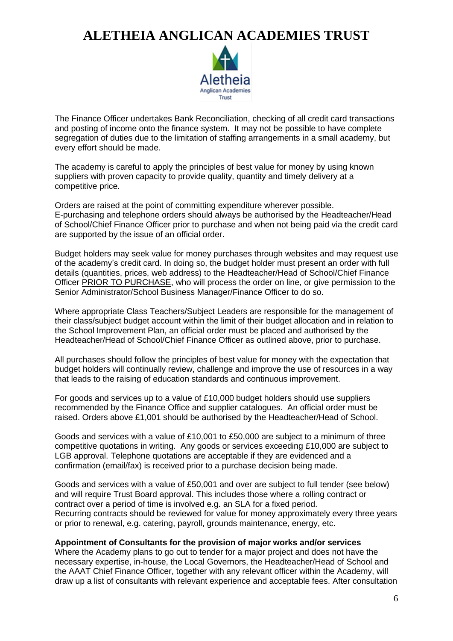

The Finance Officer undertakes Bank Reconciliation, checking of all credit card transactions and posting of income onto the finance system. It may not be possible to have complete segregation of duties due to the limitation of staffing arrangements in a small academy, but every effort should be made.

The academy is careful to apply the principles of best value for money by using known suppliers with proven capacity to provide quality, quantity and timely delivery at a competitive price.

Orders are raised at the point of committing expenditure wherever possible. E-purchasing and telephone orders should always be authorised by the Headteacher/Head of School/Chief Finance Officer prior to purchase and when not being paid via the credit card are supported by the issue of an official order.

Budget holders may seek value for money purchases through websites and may request use of the academy's credit card. In doing so, the budget holder must present an order with full details (quantities, prices, web address) to the Headteacher/Head of School/Chief Finance Officer PRIOR TO PURCHASE, who will process the order on line, or give permission to the Senior Administrator/School Business Manager/Finance Officer to do so.

Where appropriate Class Teachers/Subject Leaders are responsible for the management of their class/subject budget account within the limit of their budget allocation and in relation to the School Improvement Plan, an official order must be placed and authorised by the Headteacher/Head of School/Chief Finance Officer as outlined above, prior to purchase.

All purchases should follow the principles of best value for money with the expectation that budget holders will continually review, challenge and improve the use of resources in a way that leads to the raising of education standards and continuous improvement.

For goods and services up to a value of £10,000 budget holders should use suppliers recommended by the Finance Office and supplier catalogues. An official order must be raised. Orders above £1,001 should be authorised by the Headteacher/Head of School.

Goods and services with a value of £10,001 to £50,000 are subject to a minimum of three competitive quotations in writing. Any goods or services exceeding £10,000 are subject to LGB approval. Telephone quotations are acceptable if they are evidenced and a confirmation (email/fax) is received prior to a purchase decision being made.

Goods and services with a value of £50,001 and over are subject to full tender (see below) and will require Trust Board approval. This includes those where a rolling contract or contract over a period of time is involved e.g. an SLA for a fixed period. Recurring contracts should be reviewed for value for money approximately every three years or prior to renewal, e.g. catering, payroll, grounds maintenance, energy, etc.

### **Appointment of Consultants for the provision of major works and/or services**

Where the Academy plans to go out to tender for a major project and does not have the necessary expertise, in-house, the Local Governors, the Headteacher/Head of School and the AAAT Chief Finance Officer, together with any relevant officer within the Academy, will draw up a list of consultants with relevant experience and acceptable fees. After consultation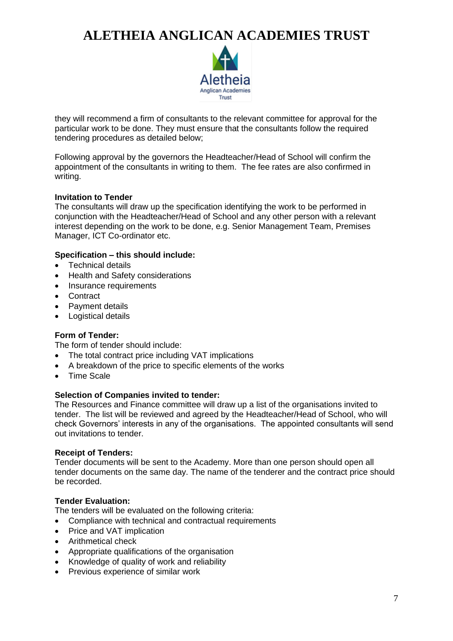

they will recommend a firm of consultants to the relevant committee for approval for the particular work to be done. They must ensure that the consultants follow the required tendering procedures as detailed below;

Following approval by the governors the Headteacher/Head of School will confirm the appointment of the consultants in writing to them. The fee rates are also confirmed in writing.

### **Invitation to Tender**

The consultants will draw up the specification identifying the work to be performed in conjunction with the Headteacher/Head of School and any other person with a relevant interest depending on the work to be done, e.g. Senior Management Team, Premises Manager, ICT Co-ordinator etc.

### **Specification – this should include:**

- Technical details
- Health and Safety considerations
- Insurance requirements
- Contract
- Payment details
- Logistical details

### **Form of Tender:**

The form of tender should include:

- The total contract price including VAT implications
- A breakdown of the price to specific elements of the works
- Time Scale

### **Selection of Companies invited to tender:**

The Resources and Finance committee will draw up a list of the organisations invited to tender. The list will be reviewed and agreed by the Headteacher/Head of School, who will check Governors' interests in any of the organisations. The appointed consultants will send out invitations to tender.

### **Receipt of Tenders:**

Tender documents will be sent to the Academy. More than one person should open all tender documents on the same day. The name of the tenderer and the contract price should be recorded.

### **Tender Evaluation:**

The tenders will be evaluated on the following criteria:

- Compliance with technical and contractual requirements
- Price and VAT implication
- Arithmetical check
- Appropriate qualifications of the organisation
- Knowledge of quality of work and reliability
- Previous experience of similar work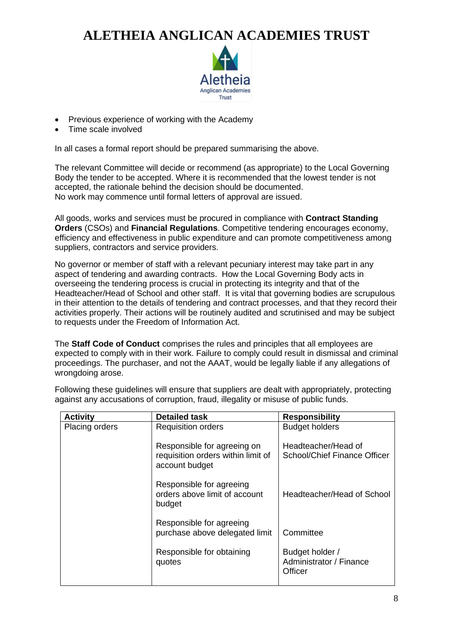

- Previous experience of working with the Academy
- Time scale involved

In all cases a formal report should be prepared summarising the above.

The relevant Committee will decide or recommend (as appropriate) to the Local Governing Body the tender to be accepted. Where it is recommended that the lowest tender is not accepted, the rationale behind the decision should be documented. No work may commence until formal letters of approval are issued.

All goods, works and services must be procured in compliance with **Contract Standing Orders** (CSOs) and **Financial Regulations**. Competitive tendering encourages economy, efficiency and effectiveness in public expenditure and can promote competitiveness among suppliers, contractors and service providers.

No governor or member of staff with a relevant pecuniary interest may take part in any aspect of tendering and awarding contracts. How the Local Governing Body acts in overseeing the tendering process is crucial in protecting its integrity and that of the Headteacher/Head of School and other staff. It is vital that governing bodies are scrupulous in their attention to the details of tendering and contract processes, and that they record their activities properly. Their actions will be routinely audited and scrutinised and may be subject to requests under the Freedom of Information Act.

The **Staff Code of Conduct** comprises the rules and principles that all employees are expected to comply with in their work. Failure to comply could result in dismissal and criminal proceedings. The purchaser, and not the AAAT, would be legally liable if any allegations of wrongdoing arose.

| <b>Activity</b>       | <b>Detailed task</b>                                                                | <b>Responsibility</b>                                 |
|-----------------------|-------------------------------------------------------------------------------------|-------------------------------------------------------|
| <b>Placing orders</b> | <b>Requisition orders</b>                                                           | <b>Budget holders</b>                                 |
|                       | Responsible for agreeing on<br>requisition orders within limit of<br>account budget | Headteacher/Head of<br>School/Chief Finance Officer   |
|                       | Responsible for agreeing<br>orders above limit of account<br>budget                 | Headteacher/Head of School                            |
|                       | Responsible for agreeing<br>purchase above delegated limit                          | Committee                                             |
|                       | Responsible for obtaining<br>quotes                                                 | Budget holder /<br>Administrator / Finance<br>Officer |

Following these guidelines will ensure that suppliers are dealt with appropriately, protecting against any accusations of corruption, fraud, illegality or misuse of public funds.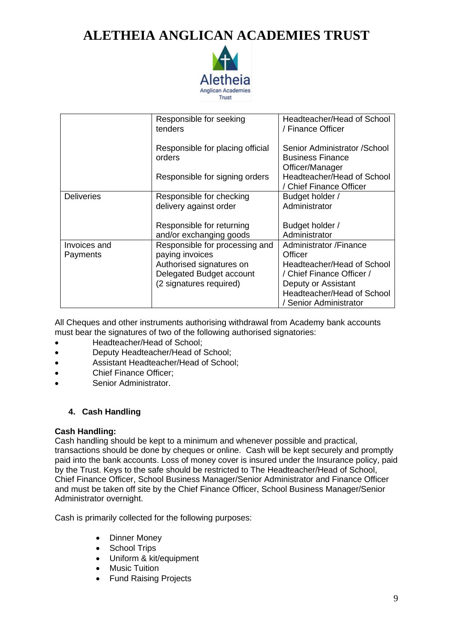

|                          | Responsible for seeking<br>tenders                                            | Headteacher/Head of School<br>/ Finance Officer                                                          |
|--------------------------|-------------------------------------------------------------------------------|----------------------------------------------------------------------------------------------------------|
|                          | Responsible for placing official<br>orders                                    | Senior Administrator / School<br><b>Business Finance</b><br>Officer/Manager                              |
|                          | Responsible for signing orders                                                | Headteacher/Head of School<br>/ Chief Finance Officer                                                    |
| <b>Deliveries</b>        | Responsible for checking<br>delivery against order                            | Budget holder /<br>Administrator                                                                         |
|                          | Responsible for returning<br>and/or exchanging goods                          | Budget holder /<br>Administrator                                                                         |
| Invoices and<br>Payments | Responsible for processing and<br>paying invoices<br>Authorised signatures on | Administrator /Finance<br>Officer<br>Headteacher/Head of School                                          |
|                          | Delegated Budget account<br>(2 signatures required)                           | / Chief Finance Officer /<br>Deputy or Assistant<br>Headteacher/Head of School<br>/ Senior Administrator |

All Cheques and other instruments authorising withdrawal from Academy bank accounts must bear the signatures of two of the following authorised signatories:

- Headteacher/Head of School;
- Deputy Headteacher/Head of School;
- Assistant Headteacher/Head of School;
- Chief Finance Officer;
- Senior Administrator.

### **4. Cash Handling**

### **Cash Handling:**

Cash handling should be kept to a minimum and whenever possible and practical, transactions should be done by cheques or online. Cash will be kept securely and promptly paid into the bank accounts. Loss of money cover is insured under the Insurance policy, paid by the Trust. Keys to the safe should be restricted to The Headteacher/Head of School, Chief Finance Officer, School Business Manager/Senior Administrator and Finance Officer and must be taken off site by the Chief Finance Officer, School Business Manager/Senior Administrator overnight.

Cash is primarily collected for the following purposes:

- Dinner Money
- School Trips
- Uniform & kit/equipment
- Music Tuition
- Fund Raising Projects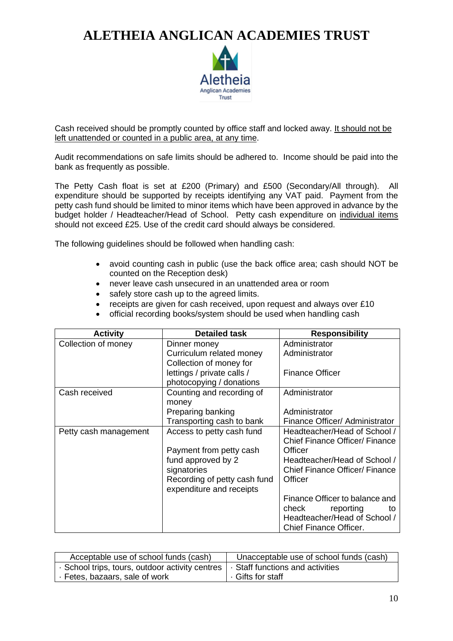

Cash received should be promptly counted by office staff and locked away. It should not be left unattended or counted in a public area, at any time.

Audit recommendations on safe limits should be adhered to. Income should be paid into the bank as frequently as possible.

The Petty Cash float is set at £200 (Primary) and £500 (Secondary/All through). All expenditure should be supported by receipts identifying any VAT paid. Payment from the petty cash fund should be limited to minor items which have been approved in advance by the budget holder / Headteacher/Head of School. Petty cash expenditure on individual items should not exceed £25. Use of the credit card should always be considered.

The following guidelines should be followed when handling cash:

- avoid counting cash in public (use the back office area; cash should NOT be counted on the Reception desk)
- never leave cash unsecured in an unattended area or room
- safely store cash up to the agreed limits.
- receipts are given for cash received, upon request and always over £10
- official recording books/system should be used when handling cash

| <b>Activity</b>       | <b>Detailed task</b>                                     | <b>Responsibility</b>                 |
|-----------------------|----------------------------------------------------------|---------------------------------------|
| Collection of money   | Dinner money                                             | Administrator                         |
|                       | Curriculum related money                                 | Administrator                         |
|                       | Collection of money for                                  |                                       |
|                       | lettings / private calls /                               | <b>Finance Officer</b>                |
|                       | photocopying / donations                                 |                                       |
| Cash received         | Counting and recording of                                | Administrator                         |
|                       | money                                                    |                                       |
|                       | Preparing banking                                        | Administrator                         |
|                       | Transporting cash to bank                                | Finance Officer/ Administrator        |
| Petty cash management | Access to petty cash fund                                | Headteacher/Head of School /          |
|                       |                                                          | <b>Chief Finance Officer/ Finance</b> |
|                       | Payment from petty cash                                  | Officer                               |
|                       | fund approved by 2                                       | Headteacher/Head of School /          |
|                       | signatories                                              | <b>Chief Finance Officer/ Finance</b> |
|                       | Recording of petty cash fund<br>expenditure and receipts | Officer                               |
|                       |                                                          | Finance Officer to balance and        |
|                       |                                                          | check<br>reporting<br>to              |
|                       |                                                          | Headteacher/Head of School /          |
|                       |                                                          | <b>Chief Finance Officer.</b>         |

| Acceptable use of school funds (cash)           | Unacceptable use of school funds (cash) |
|-------------------------------------------------|-----------------------------------------|
| · School trips, tours, outdoor activity centres | · Staff functions and activities        |
| Eetes, bazaars, sale of work                    | . Gifts for staff                       |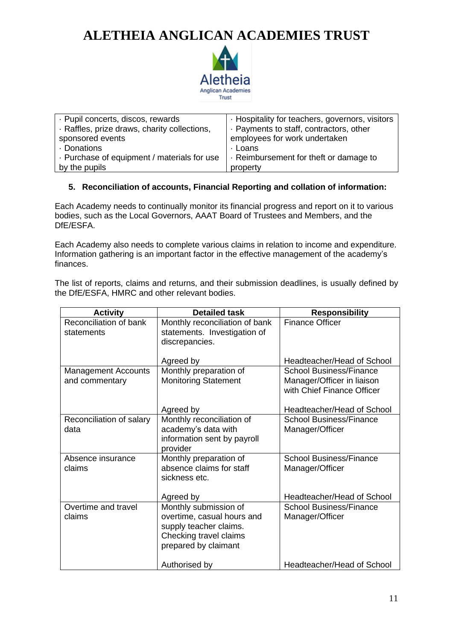

| · Pupil concerts, discos, rewards            | · Hospitality for teachers, governors, visitors |
|----------------------------------------------|-------------------------------------------------|
| · Raffles, prize draws, charity collections, | . Payments to staff, contractors, other         |
| sponsored events                             | employees for work undertaken                   |
| · Donations                                  | ⋅ Loans                                         |
| . Purchase of equipment / materials for use  | Reimbursement for theft or damage to            |
| by the pupils                                | property                                        |

### **5. Reconciliation of accounts, Financial Reporting and collation of information:**

Each Academy needs to continually monitor its financial progress and report on it to various bodies, such as the Local Governors, AAAT Board of Trustees and Members, and the DfE/ESFA.

Each Academy also needs to complete various claims in relation to income and expenditure. Information gathering is an important factor in the effective management of the academy's finances.

The list of reports, claims and returns, and their submission deadlines, is usually defined by the DfE/ESFA, HMRC and other relevant bodies.

| <b>Activity</b>                              | <b>Detailed task</b>                                                                                                            | <b>Responsibility</b>                                                                      |
|----------------------------------------------|---------------------------------------------------------------------------------------------------------------------------------|--------------------------------------------------------------------------------------------|
| Reconciliation of bank<br>statements         | Monthly reconciliation of bank<br>statements. Investigation of<br>discrepancies.                                                | <b>Finance Officer</b>                                                                     |
|                                              | Agreed by                                                                                                                       | Headteacher/Head of School                                                                 |
| <b>Management Accounts</b><br>and commentary | Monthly preparation of<br><b>Monitoring Statement</b>                                                                           | <b>School Business/Finance</b><br>Manager/Officer in liaison<br>with Chief Finance Officer |
|                                              | Agreed by                                                                                                                       | Headteacher/Head of School                                                                 |
| Reconciliation of salary<br>data             | Monthly reconciliation of<br>academy's data with<br>information sent by payroll<br>provider                                     | School Business/Finance<br>Manager/Officer                                                 |
| Absence insurance<br>claims                  | Monthly preparation of<br>absence claims for staff<br>sickness etc.<br>Agreed by                                                | <b>School Business/Finance</b><br>Manager/Officer<br>Headteacher/Head of School            |
| Overtime and travel<br>claims                | Monthly submission of<br>overtime, casual hours and<br>supply teacher claims.<br>Checking travel claims<br>prepared by claimant | <b>School Business/Finance</b><br>Manager/Officer                                          |
|                                              | Authorised by                                                                                                                   | Headteacher/Head of School                                                                 |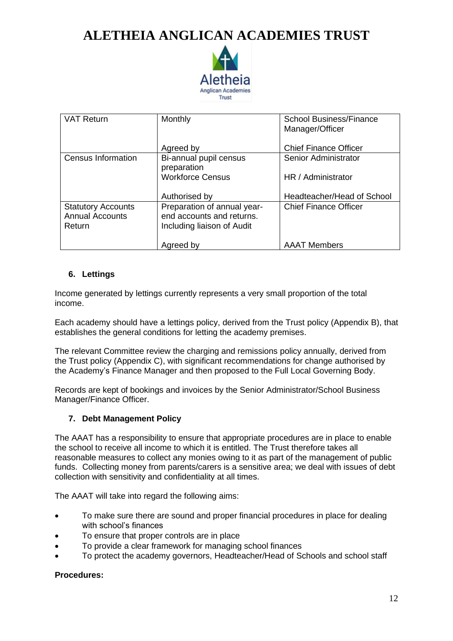

| <b>VAT Return</b>                                             | Monthly                                                                                | <b>School Business/Finance</b><br>Manager/Officer |
|---------------------------------------------------------------|----------------------------------------------------------------------------------------|---------------------------------------------------|
|                                                               | Agreed by                                                                              | <b>Chief Finance Officer</b>                      |
| Census Information                                            | Bi-annual pupil census<br>preparation                                                  | <b>Senior Administrator</b>                       |
|                                                               | <b>Workforce Census</b>                                                                | HR / Administrator                                |
|                                                               | Authorised by                                                                          | Headteacher/Head of School                        |
| <b>Statutory Accounts</b><br><b>Annual Accounts</b><br>Return | Preparation of annual year-<br>end accounts and returns.<br>Including liaison of Audit | <b>Chief Finance Officer</b>                      |
|                                                               | Agreed by                                                                              | <b>AAAT Members</b>                               |

### **6. Lettings**

Income generated by lettings currently represents a very small proportion of the total income.

Each academy should have a lettings policy, derived from the Trust policy (Appendix B), that establishes the general conditions for letting the academy premises.

The relevant Committee review the charging and remissions policy annually, derived from the Trust policy (Appendix C), with significant recommendations for change authorised by the Academy's Finance Manager and then proposed to the Full Local Governing Body.

Records are kept of bookings and invoices by the Senior Administrator/School Business Manager/Finance Officer.

### **7. Debt Management Policy**

The AAAT has a responsibility to ensure that appropriate procedures are in place to enable the school to receive all income to which it is entitled. The Trust therefore takes all reasonable measures to collect any monies owing to it as part of the management of public funds. Collecting money from parents/carers is a sensitive area; we deal with issues of debt collection with sensitivity and confidentiality at all times.

The AAAT will take into regard the following aims:

- To make sure there are sound and proper financial procedures in place for dealing with school's finances
- To ensure that proper controls are in place
- To provide a clear framework for managing school finances
- To protect the academy governors, Headteacher/Head of Schools and school staff

### **Procedures:**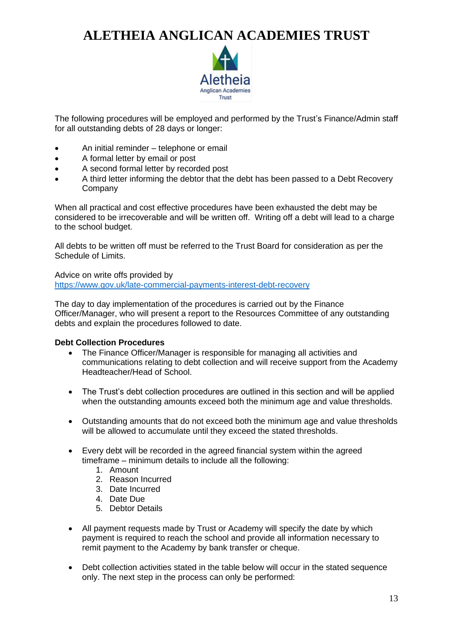

The following procedures will be employed and performed by the Trust's Finance/Admin staff for all outstanding debts of 28 days or longer:

- An initial reminder telephone or email
- A formal letter by email or post
- A second formal letter by recorded post
- A third letter informing the debtor that the debt has been passed to a Debt Recovery Company

When all practical and cost effective procedures have been exhausted the debt may be considered to be irrecoverable and will be written off. Writing off a debt will lead to a charge to the school budget.

All debts to be written off must be referred to the Trust Board for consideration as per the Schedule of Limits.

Advice on write offs provided by <https://www.gov.uk/late-commercial-payments-interest-debt-recovery>

The day to day implementation of the procedures is carried out by the Finance Officer/Manager, who will present a report to the Resources Committee of any outstanding debts and explain the procedures followed to date.

### **Debt Collection Procedures**

- The Finance Officer/Manager is responsible for managing all activities and communications relating to debt collection and will receive support from the Academy Headteacher/Head of School.
- The Trust's debt collection procedures are outlined in this section and will be applied when the outstanding amounts exceed both the minimum age and value thresholds.
- Outstanding amounts that do not exceed both the minimum age and value thresholds will be allowed to accumulate until they exceed the stated thresholds.
- Every debt will be recorded in the agreed financial system within the agreed timeframe – minimum details to include all the following:
	- 1. Amount
	- 2. Reason Incurred
	- 3. Date Incurred
	- 4. Date Due
	- 5. Debtor Details
- All payment requests made by Trust or Academy will specify the date by which payment is required to reach the school and provide all information necessary to remit payment to the Academy by bank transfer or cheque.
- Debt collection activities stated in the table below will occur in the stated sequence only. The next step in the process can only be performed: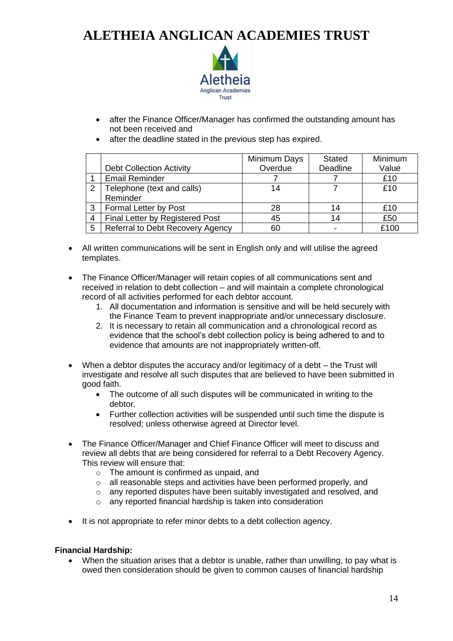

- after the Finance Officer/Manager has confirmed the outstanding amount has not been received and
- after the deadline stated in the previous step has expired.

|   |                                         | Minimum Days | <b>Stated</b>   | Minimum |
|---|-----------------------------------------|--------------|-----------------|---------|
|   | <b>Debt Collection Activity</b>         | Overdue      | <b>Deadline</b> | Value   |
|   | <b>Email Reminder</b>                   |              |                 | £10     |
| 2 | Telephone (text and calls)              | 14           |                 | £10     |
|   | Reminder                                |              |                 |         |
| 3 | Formal Letter by Post                   | 28           | 14              | £10     |
| 4 | Final Letter by Registered Post         | 45           | 14              | £50     |
| 5 | <b>Referral to Debt Recovery Agency</b> | 60           |                 | £100    |

• All written communications will be sent in English only and will utilise the agreed templates.

• The Finance Officer/Manager will retain copies of all communications sent and received in relation to debt collection – and will maintain a complete chronological record of all activities performed for each debtor account.

- 1. All documentation and information is sensitive and will be held securely with the Finance Team to prevent inappropriate and/or unnecessary disclosure.
- 2. It is necessary to retain all communication and a chronological record as evidence that the school's debt collection policy is being adhered to and to evidence that amounts are not inappropriately written-off.
- When a debtor disputes the accuracy and/or legitimacy of a debt the Trust will investigate and resolve all such disputes that are believed to have been submitted in good faith.
	- The outcome of all such disputes will be communicated in writing to the debtor.
	- Further collection activities will be suspended until such time the dispute is resolved; unless otherwise agreed at Director level.
- The Finance Officer/Manager and Chief Finance Officer will meet to discuss and review all debts that are being considered for referral to a Debt Recovery Agency. This review will ensure that:
	- o The amount is confirmed as unpaid, and
	- o all reasonable steps and activities have been performed properly, and
	- o any reported disputes have been suitably investigated and resolved, and
	- o any reported financial hardship is taken into consideration
- It is not appropriate to refer minor debts to a debt collection agency.

### **Financial Hardship:**

• When the situation arises that a debtor is unable, rather than unwilling, to pay what is owed then consideration should be given to common causes of financial hardship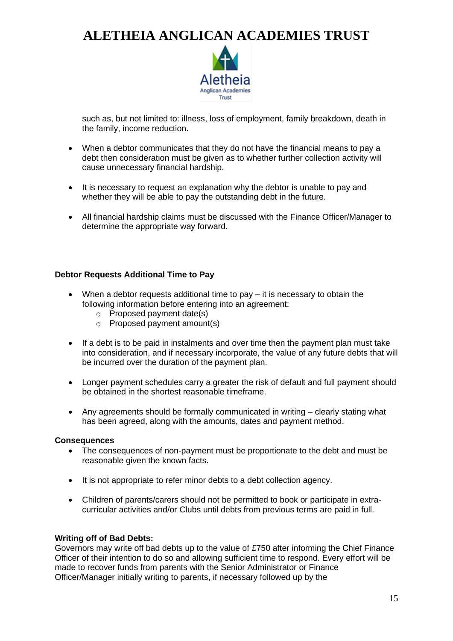

such as, but not limited to: illness, loss of employment, family breakdown, death in the family, income reduction.

- When a debtor communicates that they do not have the financial means to pay a debt then consideration must be given as to whether further collection activity will cause unnecessary financial hardship.
- It is necessary to request an explanation why the debtor is unable to pay and whether they will be able to pay the outstanding debt in the future.
- All financial hardship claims must be discussed with the Finance Officer/Manager to determine the appropriate way forward.

### **Debtor Requests Additional Time to Pay**

- When a debtor requests additional time to pay it is necessary to obtain the following information before entering into an agreement:
	- o Proposed payment date(s)
	- o Proposed payment amount(s)
- If a debt is to be paid in instalments and over time then the payment plan must take into consideration, and if necessary incorporate, the value of any future debts that will be incurred over the duration of the payment plan.
- Longer payment schedules carry a greater the risk of default and full payment should be obtained in the shortest reasonable timeframe.
- Any agreements should be formally communicated in writing clearly stating what has been agreed, along with the amounts, dates and payment method.

### **Consequences**

- The consequences of non-payment must be proportionate to the debt and must be reasonable given the known facts.
- It is not appropriate to refer minor debts to a debt collection agency.
- Children of parents/carers should not be permitted to book or participate in extracurricular activities and/or Clubs until debts from previous terms are paid in full.

### **Writing off of Bad Debts:**

Governors may write off bad debts up to the value of £750 after informing the Chief Finance Officer of their intention to do so and allowing sufficient time to respond. Every effort will be made to recover funds from parents with the Senior Administrator or Finance Officer/Manager initially writing to parents, if necessary followed up by the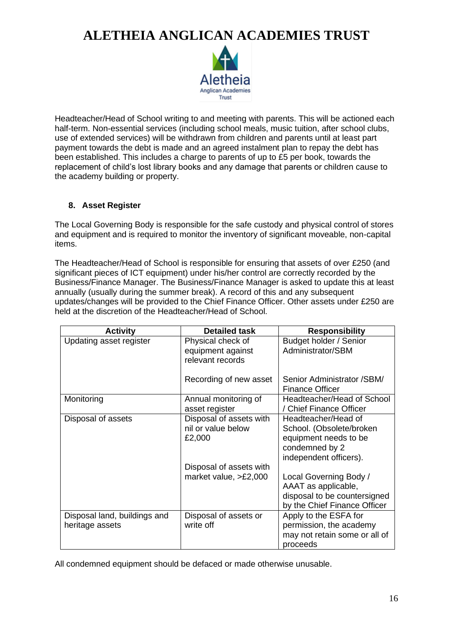

Headteacher/Head of School writing to and meeting with parents. This will be actioned each half-term. Non-essential services (including school meals, music tuition, after school clubs, use of extended services) will be withdrawn from children and parents until at least part payment towards the debt is made and an agreed instalment plan to repay the debt has been established. This includes a charge to parents of up to £5 per book, towards the replacement of child's lost library books and any damage that parents or children cause to the academy building or property.

### **8. Asset Register**

The Local Governing Body is responsible for the safe custody and physical control of stores and equipment and is required to monitor the inventory of significant moveable, non-capital items.

The Headteacher/Head of School is responsible for ensuring that assets of over £250 (and significant pieces of ICT equipment) under his/her control are correctly recorded by the Business/Finance Manager. The Business/Finance Manager is asked to update this at least annually (usually during the summer break). A record of this and any subsequent updates/changes will be provided to the Chief Finance Officer. Other assets under £250 are held at the discretion of the Headteacher/Head of School.

| <b>Activity</b>              | <b>Detailed task</b>                   | <b>Responsibility</b>                                 |
|------------------------------|----------------------------------------|-------------------------------------------------------|
| Updating asset register      | Physical check of                      | Budget holder / Senior                                |
|                              | equipment against                      | Administrator/SBM                                     |
|                              | relevant records                       |                                                       |
|                              | Recording of new asset                 | Senior Administrator / SBM/<br><b>Finance Officer</b> |
| Monitoring                   | Annual monitoring of<br>asset register | Headteacher/Head of School<br>/ Chief Finance Officer |
| Disposal of assets           | Disposal of assets with                | Headteacher/Head of                                   |
|                              | nil or value below                     | School. (Obsolete/broken                              |
|                              | £2,000                                 | equipment needs to be                                 |
|                              |                                        | condemned by 2                                        |
|                              |                                        | independent officers).                                |
|                              | Disposal of assets with                |                                                       |
|                              | market value, $>E2,000$                | Local Governing Body /                                |
|                              |                                        | AAAT as applicable,                                   |
|                              |                                        | disposal to be countersigned                          |
|                              |                                        | by the Chief Finance Officer                          |
| Disposal land, buildings and | Disposal of assets or                  | Apply to the ESFA for                                 |
| heritage assets              | write off                              | permission, the academy                               |
|                              |                                        | may not retain some or all of                         |
|                              |                                        | proceeds                                              |

All condemned equipment should be defaced or made otherwise unusable.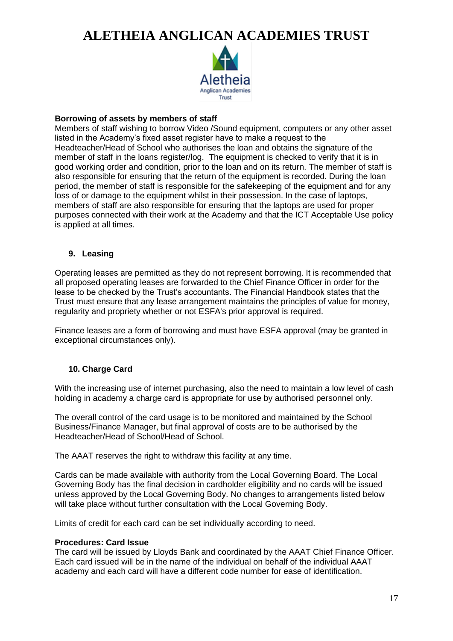

#### **Borrowing of assets by members of staff**

Members of staff wishing to borrow Video /Sound equipment, computers or any other asset listed in the Academy's fixed asset register have to make a request to the Headteacher/Head of School who authorises the loan and obtains the signature of the member of staff in the loans register/log. The equipment is checked to verify that it is in good working order and condition, prior to the loan and on its return. The member of staff is also responsible for ensuring that the return of the equipment is recorded. During the loan period, the member of staff is responsible for the safekeeping of the equipment and for any loss of or damage to the equipment whilst in their possession. In the case of laptops, members of staff are also responsible for ensuring that the laptops are used for proper purposes connected with their work at the Academy and that the ICT Acceptable Use policy is applied at all times.

### **9. Leasing**

Operating leases are permitted as they do not represent borrowing. It is recommended that all proposed operating leases are forwarded to the Chief Finance Officer in order for the lease to be checked by the Trust's accountants. The Financial Handbook states that the Trust must ensure that any lease arrangement maintains the principles of value for money, regularity and propriety whether or not ESFA's prior approval is required.

Finance leases are a form of borrowing and must have ESFA approval (may be granted in exceptional circumstances only).

### **10. Charge Card**

With the increasing use of internet purchasing, also the need to maintain a low level of cash holding in academy a charge card is appropriate for use by authorised personnel only.

The overall control of the card usage is to be monitored and maintained by the School Business/Finance Manager, but final approval of costs are to be authorised by the Headteacher/Head of School/Head of School.

The AAAT reserves the right to withdraw this facility at any time.

Cards can be made available with authority from the Local Governing Board. The Local Governing Body has the final decision in cardholder eligibility and no cards will be issued unless approved by the Local Governing Body. No changes to arrangements listed below will take place without further consultation with the Local Governing Body.

Limits of credit for each card can be set individually according to need.

#### **Procedures: Card Issue**

The card will be issued by Lloyds Bank and coordinated by the AAAT Chief Finance Officer. Each card issued will be in the name of the individual on behalf of the individual AAAT academy and each card will have a different code number for ease of identification.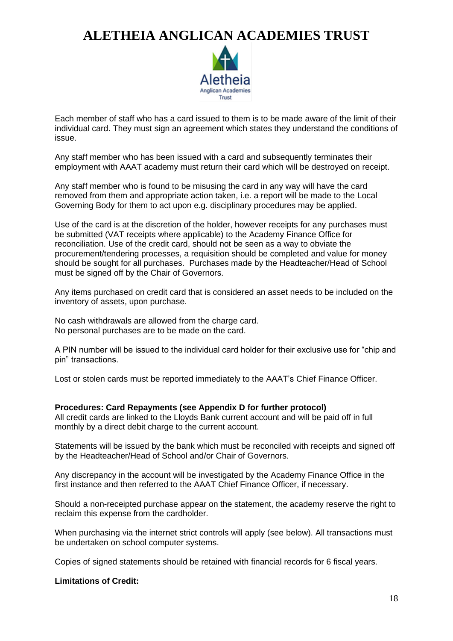

Each member of staff who has a card issued to them is to be made aware of the limit of their individual card. They must sign an agreement which states they understand the conditions of issue.

Any staff member who has been issued with a card and subsequently terminates their employment with AAAT academy must return their card which will be destroyed on receipt.

Any staff member who is found to be misusing the card in any way will have the card removed from them and appropriate action taken, i.e. a report will be made to the Local Governing Body for them to act upon e.g. disciplinary procedures may be applied.

Use of the card is at the discretion of the holder, however receipts for any purchases must be submitted (VAT receipts where applicable) to the Academy Finance Office for reconciliation. Use of the credit card, should not be seen as a way to obviate the procurement/tendering processes, a requisition should be completed and value for money should be sought for all purchases. Purchases made by the Headteacher/Head of School must be signed off by the Chair of Governors.

Any items purchased on credit card that is considered an asset needs to be included on the inventory of assets, upon purchase.

No cash withdrawals are allowed from the charge card. No personal purchases are to be made on the card.

A PIN number will be issued to the individual card holder for their exclusive use for "chip and pin" transactions.

Lost or stolen cards must be reported immediately to the AAAT's Chief Finance Officer.

### **Procedures: Card Repayments (see Appendix D for further protocol)**

All credit cards are linked to the Lloyds Bank current account and will be paid off in full monthly by a direct debit charge to the current account.

Statements will be issued by the bank which must be reconciled with receipts and signed off by the Headteacher/Head of School and/or Chair of Governors.

Any discrepancy in the account will be investigated by the Academy Finance Office in the first instance and then referred to the AAAT Chief Finance Officer, if necessary.

Should a non-receipted purchase appear on the statement, the academy reserve the right to reclaim this expense from the cardholder.

When purchasing via the internet strict controls will apply (see below). All transactions must be undertaken on school computer systems.

Copies of signed statements should be retained with financial records for 6 fiscal years.

### **Limitations of Credit:**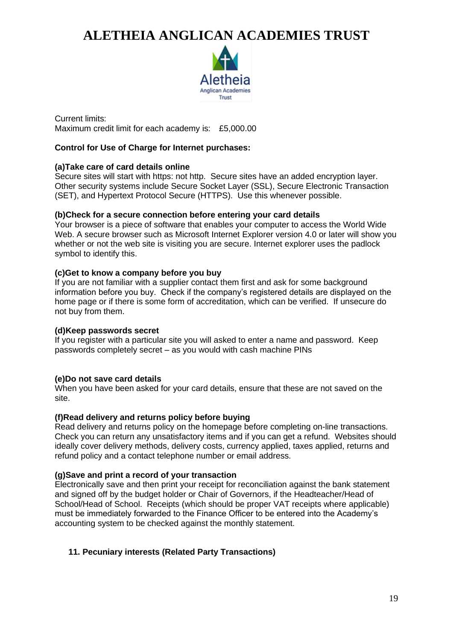

Current limits: Maximum credit limit for each academy is: £5,000.00

### **Control for Use of Charge for Internet purchases:**

### **(a)Take care of card details online**

Secure sites will start with https: not http. Secure sites have an added encryption layer. Other security systems include Secure Socket Layer (SSL), Secure Electronic Transaction (SET), and Hypertext Protocol Secure (HTTPS). Use this whenever possible.

### **(b)Check for a secure connection before entering your card details**

Your browser is a piece of software that enables your computer to access the World Wide Web. A secure browser such as Microsoft Internet Explorer version 4.0 or later will show you whether or not the web site is visiting you are secure. Internet explorer uses the padlock symbol to identify this.

### **(c)Get to know a company before you buy**

If you are not familiar with a supplier contact them first and ask for some background information before you buy. Check if the company's registered details are displayed on the home page or if there is some form of accreditation, which can be verified. If unsecure do not buy from them.

### **(d)Keep passwords secret**

If you register with a particular site you will asked to enter a name and password. Keep passwords completely secret – as you would with cash machine PINs

### **(e)Do not save card details**

When you have been asked for your card details, ensure that these are not saved on the site.

### **(f)Read delivery and returns policy before buying**

Read delivery and returns policy on the homepage before completing on-line transactions. Check you can return any unsatisfactory items and if you can get a refund. Websites should ideally cover delivery methods, delivery costs, currency applied, taxes applied, returns and refund policy and a contact telephone number or email address.

### **(g)Save and print a record of your transaction**

Electronically save and then print your receipt for reconciliation against the bank statement and signed off by the budget holder or Chair of Governors, if the Headteacher/Head of School/Head of School. Receipts (which should be proper VAT receipts where applicable) must be immediately forwarded to the Finance Officer to be entered into the Academy's accounting system to be checked against the monthly statement.

### **11. Pecuniary interests (Related Party Transactions)**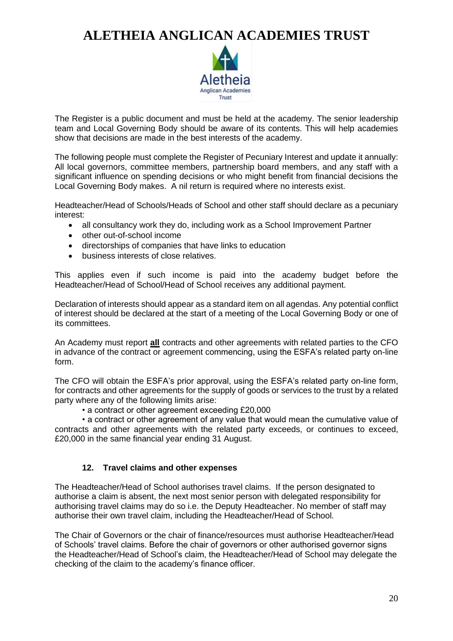

The Register is a public document and must be held at the academy. The senior leadership team and Local Governing Body should be aware of its contents. This will help academies show that decisions are made in the best interests of the academy.

The following people must complete the Register of Pecuniary Interest and update it annually: All local governors, committee members, partnership board members, and any staff with a significant influence on spending decisions or who might benefit from financial decisions the Local Governing Body makes. A nil return is required where no interests exist.

Headteacher/Head of Schools/Heads of School and other staff should declare as a pecuniary interest:

- all consultancy work they do, including work as a School Improvement Partner
- other out-of-school income
- directorships of companies that have links to education
- business interests of close relatives.

This applies even if such income is paid into the academy budget before the Headteacher/Head of School/Head of School receives any additional payment.

Declaration of interests should appear as a standard item on all agendas. Any potential conflict of interest should be declared at the start of a meeting of the Local Governing Body or one of its committees.

An Academy must report **all** contracts and other agreements with related parties to the CFO in advance of the contract or agreement commencing, using the ESFA's related party on-line form.

The CFO will obtain the ESFA's prior approval, using the ESFA's related party on-line form, for contracts and other agreements for the supply of goods or services to the trust by a related party where any of the following limits arise:

• a contract or other agreement exceeding £20,000

• a contract or other agreement of any value that would mean the cumulative value of contracts and other agreements with the related party exceeds, or continues to exceed, £20,000 in the same financial year ending 31 August.

### **12. Travel claims and other expenses**

The Headteacher/Head of School authorises travel claims. If the person designated to authorise a claim is absent, the next most senior person with delegated responsibility for authorising travel claims may do so i.e. the Deputy Headteacher. No member of staff may authorise their own travel claim, including the Headteacher/Head of School.

The Chair of Governors or the chair of finance/resources must authorise Headteacher/Head of Schools' travel claims. Before the chair of governors or other authorised governor signs the Headteacher/Head of School's claim, the Headteacher/Head of School may delegate the checking of the claim to the academy's finance officer.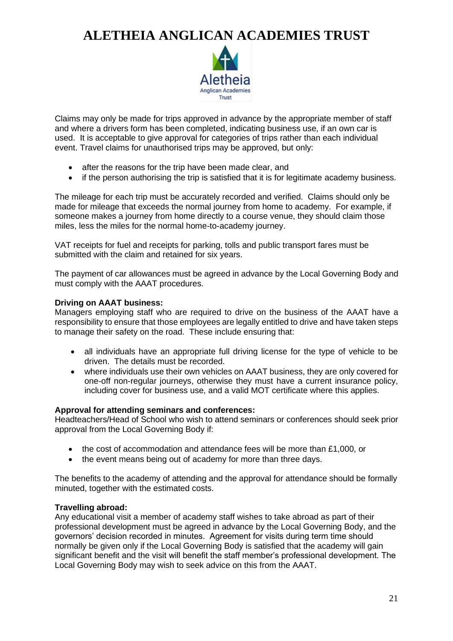

Claims may only be made for trips approved in advance by the appropriate member of staff and where a drivers form has been completed, indicating business use, if an own car is used. It is acceptable to give approval for categories of trips rather than each individual event. Travel claims for unauthorised trips may be approved, but only:

- after the reasons for the trip have been made clear, and
- if the person authorising the trip is satisfied that it is for legitimate academy business.

The mileage for each trip must be accurately recorded and verified. Claims should only be made for mileage that exceeds the normal journey from home to academy. For example, if someone makes a journey from home directly to a course venue, they should claim those miles, less the miles for the normal home-to-academy journey.

VAT receipts for fuel and receipts for parking, tolls and public transport fares must be submitted with the claim and retained for six years.

The payment of car allowances must be agreed in advance by the Local Governing Body and must comply with the AAAT procedures.

### **Driving on AAAT business:**

Managers employing staff who are required to drive on the business of the AAAT have a responsibility to ensure that those employees are legally entitled to drive and have taken steps to manage their safety on the road. These include ensuring that:

- all individuals have an appropriate full driving license for the type of vehicle to be driven. The details must be recorded.
- where individuals use their own vehicles on AAAT business, they are only covered for one-off non-regular journeys, otherwise they must have a current insurance policy, including cover for business use, and a valid MOT certificate where this applies.

### **Approval for attending seminars and conferences:**

Headteachers/Head of School who wish to attend seminars or conferences should seek prior approval from the Local Governing Body if:

- the cost of accommodation and attendance fees will be more than £1,000, or
- the event means being out of academy for more than three days.

The benefits to the academy of attending and the approval for attendance should be formally minuted, together with the estimated costs.

### **Travelling abroad:**

Any educational visit a member of academy staff wishes to take abroad as part of their professional development must be agreed in advance by the Local Governing Body, and the governors' decision recorded in minutes. Agreement for visits during term time should normally be given only if the Local Governing Body is satisfied that the academy will gain significant benefit and the visit will benefit the staff member's professional development. The Local Governing Body may wish to seek advice on this from the AAAT.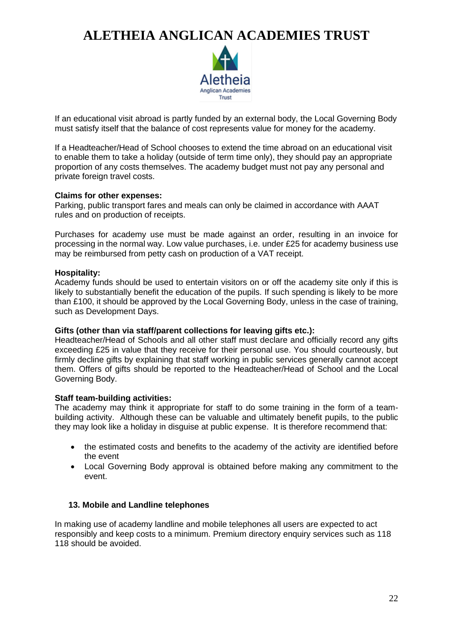

If an educational visit abroad is partly funded by an external body, the Local Governing Body must satisfy itself that the balance of cost represents value for money for the academy.

If a Headteacher/Head of School chooses to extend the time abroad on an educational visit to enable them to take a holiday (outside of term time only), they should pay an appropriate proportion of any costs themselves. The academy budget must not pay any personal and private foreign travel costs.

### **Claims for other expenses:**

Parking, public transport fares and meals can only be claimed in accordance with AAAT rules and on production of receipts.

Purchases for academy use must be made against an order, resulting in an invoice for processing in the normal way. Low value purchases, i.e. under £25 for academy business use may be reimbursed from petty cash on production of a VAT receipt.

#### **Hospitality:**

Academy funds should be used to entertain visitors on or off the academy site only if this is likely to substantially benefit the education of the pupils. If such spending is likely to be more than £100, it should be approved by the Local Governing Body, unless in the case of training, such as Development Days.

### **Gifts (other than via staff/parent collections for leaving gifts etc.):**

Headteacher/Head of Schools and all other staff must declare and officially record any gifts exceeding £25 in value that they receive for their personal use. You should courteously, but firmly decline gifts by explaining that staff working in public services generally cannot accept them. Offers of gifts should be reported to the Headteacher/Head of School and the Local Governing Body.

### **Staff team-building activities:**

The academy may think it appropriate for staff to do some training in the form of a teambuilding activity. Although these can be valuable and ultimately benefit pupils, to the public they may look like a holiday in disguise at public expense. It is therefore recommend that:

- the estimated costs and benefits to the academy of the activity are identified before the event
- Local Governing Body approval is obtained before making any commitment to the event.

### **13. Mobile and Landline telephones**

In making use of academy landline and mobile telephones all users are expected to act responsibly and keep costs to a minimum. Premium directory enquiry services such as 118 118 should be avoided.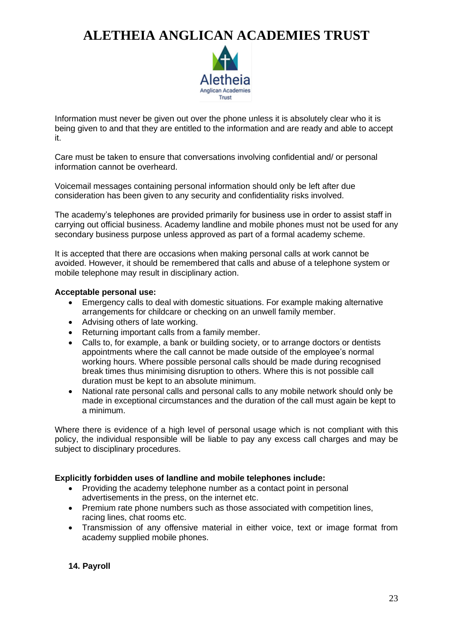

Information must never be given out over the phone unless it is absolutely clear who it is being given to and that they are entitled to the information and are ready and able to accept it.

Care must be taken to ensure that conversations involving confidential and/ or personal information cannot be overheard.

Voicemail messages containing personal information should only be left after due consideration has been given to any security and confidentiality risks involved.

The academy's telephones are provided primarily for business use in order to assist staff in carrying out official business. Academy landline and mobile phones must not be used for any secondary business purpose unless approved as part of a formal academy scheme.

It is accepted that there are occasions when making personal calls at work cannot be avoided. However, it should be remembered that calls and abuse of a telephone system or mobile telephone may result in disciplinary action.

### **Acceptable personal use:**

- Emergency calls to deal with domestic situations. For example making alternative arrangements for childcare or checking on an unwell family member.
- Advising others of late working.
- Returning important calls from a family member.
- Calls to, for example, a bank or building society, or to arrange doctors or dentists appointments where the call cannot be made outside of the employee's normal working hours. Where possible personal calls should be made during recognised break times thus minimising disruption to others. Where this is not possible call duration must be kept to an absolute minimum.
- National rate personal calls and personal calls to any mobile network should only be made in exceptional circumstances and the duration of the call must again be kept to a minimum.

Where there is evidence of a high level of personal usage which is not compliant with this policy, the individual responsible will be liable to pay any excess call charges and may be subject to disciplinary procedures.

### **Explicitly forbidden uses of landline and mobile telephones include:**

- Providing the academy telephone number as a contact point in personal advertisements in the press, on the internet etc.
- Premium rate phone numbers such as those associated with competition lines, racing lines, chat rooms etc.
- Transmission of any offensive material in either voice, text or image format from academy supplied mobile phones.

### **14. Payroll**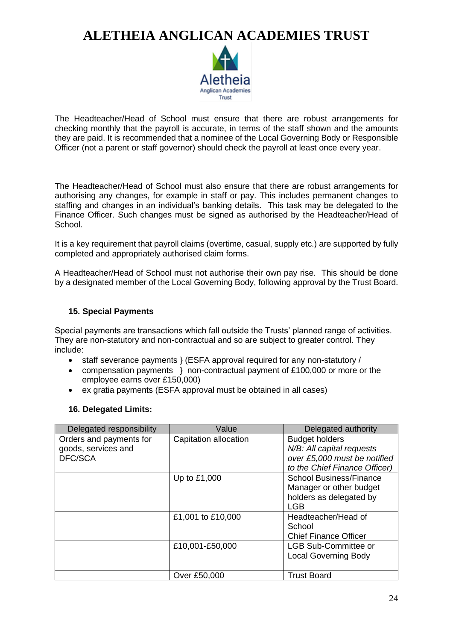

The Headteacher/Head of School must ensure that there are robust arrangements for checking monthly that the payroll is accurate, in terms of the staff shown and the amounts they are paid. It is recommended that a nominee of the Local Governing Body or Responsible Officer (not a parent or staff governor) should check the payroll at least once every year.

The Headteacher/Head of School must also ensure that there are robust arrangements for authorising any changes, for example in staff or pay. This includes permanent changes to staffing and changes in an individual's banking details. This task may be delegated to the Finance Officer. Such changes must be signed as authorised by the Headteacher/Head of School.

It is a key requirement that payroll claims (overtime, casual, supply etc.) are supported by fully completed and appropriately authorised claim forms.

A Headteacher/Head of School must not authorise their own pay rise. This should be done by a designated member of the Local Governing Body, following approval by the Trust Board.

### **15. Special Payments**

Special payments are transactions which fall outside the Trusts' planned range of activities. They are non-statutory and non-contractual and so are subject to greater control. They include:

- staff severance payments } (ESFA approval required for any non-statutory /
- compensation payments } non-contractual payment of £100,000 or more or the employee earns over £150,000)
- ex gratia payments (ESFA approval must be obtained in all cases)

### **16. Delegated Limits:**

| Delegated responsibility | Value                 | Delegated authority            |
|--------------------------|-----------------------|--------------------------------|
| Orders and payments for  | Capitation allocation | <b>Budget holders</b>          |
| goods, services and      |                       | N/B: All capital requests      |
| DFC/SCA                  |                       | over £5,000 must be notified   |
|                          |                       | to the Chief Finance Officer)  |
|                          | Up to £1,000          | <b>School Business/Finance</b> |
|                          |                       | Manager or other budget        |
|                          |                       | holders as delegated by        |
|                          |                       | <b>LGB</b>                     |
|                          | £1,001 to £10,000     | Headteacher/Head of            |
|                          |                       | School                         |
|                          |                       | <b>Chief Finance Officer</b>   |
|                          | £10,001-£50,000       | LGB Sub-Committee or           |
|                          |                       | <b>Local Governing Body</b>    |
|                          |                       |                                |
|                          | Over £50,000          | <b>Trust Board</b>             |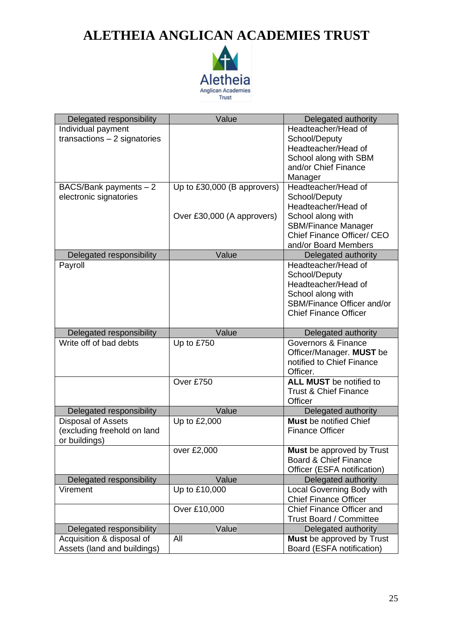

| Delegated responsibility      | Value                       | Delegated authority                                           |
|-------------------------------|-----------------------------|---------------------------------------------------------------|
| Individual payment            |                             | Headteacher/Head of                                           |
| transactions $-2$ signatories |                             | School/Deputy                                                 |
|                               |                             | Headteacher/Head of                                           |
|                               |                             | School along with SBM                                         |
|                               |                             | and/or Chief Finance                                          |
|                               |                             | Manager                                                       |
| BACS/Bank payments $-2$       | Up to £30,000 (B approvers) | Headteacher/Head of                                           |
| electronic signatories        |                             | School/Deputy                                                 |
|                               |                             | Headteacher/Head of                                           |
|                               | Over £30,000 (A approvers)  | School along with                                             |
|                               |                             | <b>SBM/Finance Manager</b>                                    |
|                               |                             | <b>Chief Finance Officer/ CEO</b><br>and/or Board Members     |
|                               | Value                       |                                                               |
| Delegated responsibility      |                             | Delegated authority<br>Headteacher/Head of                    |
| Payroll                       |                             | School/Deputy                                                 |
|                               |                             | Headteacher/Head of                                           |
|                               |                             | School along with                                             |
|                               |                             | SBM/Finance Officer and/or                                    |
|                               |                             | <b>Chief Finance Officer</b>                                  |
|                               |                             |                                                               |
| Delegated responsibility      | Value                       | Delegated authority                                           |
| Write off of bad debts        | Up to £750                  | Governors & Finance                                           |
|                               |                             | Officer/Manager. MUST be                                      |
|                               |                             | notified to Chief Finance                                     |
|                               |                             | Officer.                                                      |
|                               | Over £750                   | <b>ALL MUST</b> be notified to                                |
|                               |                             | <b>Trust &amp; Chief Finance</b>                              |
|                               |                             | Officer                                                       |
| Delegated responsibility      | Value                       | Delegated authority                                           |
| <b>Disposal of Assets</b>     | Up to £2,000                | <b>Must</b> be notified Chief                                 |
| (excluding freehold on land   |                             | <b>Finance Officer</b>                                        |
| or buildings)                 |                             |                                                               |
|                               | over £2,000                 | <b>Must</b> be approved by Trust                              |
|                               |                             | Board & Chief Finance                                         |
|                               |                             | Officer (ESFA notification)                                   |
| Delegated responsibility      | Value                       | Delegated authority                                           |
| Virement                      | Up to £10,000               | <b>Local Governing Body with</b>                              |
|                               |                             | <b>Chief Finance Officer</b>                                  |
|                               | Over £10,000                | <b>Chief Finance Officer and</b>                              |
|                               |                             | <b>Trust Board / Committee</b>                                |
| Delegated responsibility      | Value                       | Delegated authority                                           |
| Acquisition & disposal of     | All                         | <b>Must</b> be approved by Trust<br>Board (ESFA notification) |
| Assets (land and buildings)   |                             |                                                               |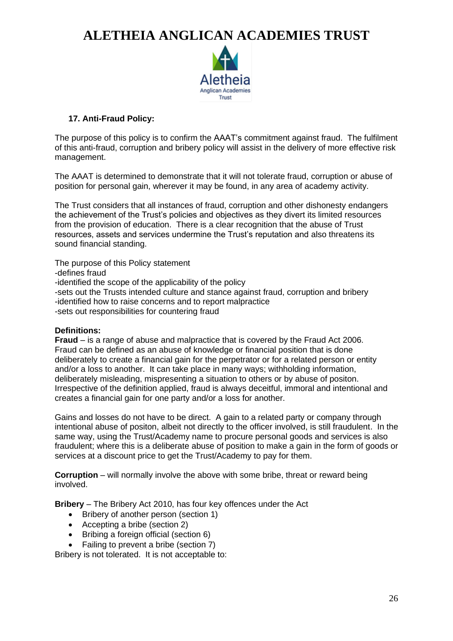

### **17. Anti-Fraud Policy:**

The purpose of this policy is to confirm the AAAT's commitment against fraud. The fulfilment of this anti-fraud, corruption and bribery policy will assist in the delivery of more effective risk management.

The AAAT is determined to demonstrate that it will not tolerate fraud, corruption or abuse of position for personal gain, wherever it may be found, in any area of academy activity.

The Trust considers that all instances of fraud, corruption and other dishonesty endangers the achievement of the Trust's policies and objectives as they divert its limited resources from the provision of education. There is a clear recognition that the abuse of Trust resources, assets and services undermine the Trust's reputation and also threatens its sound financial standing.

The purpose of this Policy statement -defines fraud -identified the scope of the applicability of the policy -sets out the Trusts intended culture and stance against fraud, corruption and bribery -identified how to raise concerns and to report malpractice -sets out responsibilities for countering fraud

### **Definitions:**

**Fraud** – is a range of abuse and malpractice that is covered by the Fraud Act 2006. Fraud can be defined as an abuse of knowledge or financial position that is done deliberately to create a financial gain for the perpetrator or for a related person or entity and/or a loss to another. It can take place in many ways; withholding information, deliberately misleading, mispresenting a situation to others or by abuse of positon. Irrespective of the definition applied, fraud is always deceitful, immoral and intentional and creates a financial gain for one party and/or a loss for another.

Gains and losses do not have to be direct. A gain to a related party or company through intentional abuse of positon, albeit not directly to the officer involved, is still fraudulent. In the same way, using the Trust/Academy name to procure personal goods and services is also fraudulent; where this is a deliberate abuse of position to make a gain in the form of goods or services at a discount price to get the Trust/Academy to pay for them.

**Corruption** – will normally involve the above with some bribe, threat or reward being involved.

**Bribery** – The Bribery Act 2010, has four key offences under the Act

- Bribery of another person (section 1)
- Accepting a bribe (section 2)
- Bribing a foreign official (section 6)
- Failing to prevent a bribe (section 7)

Bribery is not tolerated. It is not acceptable to: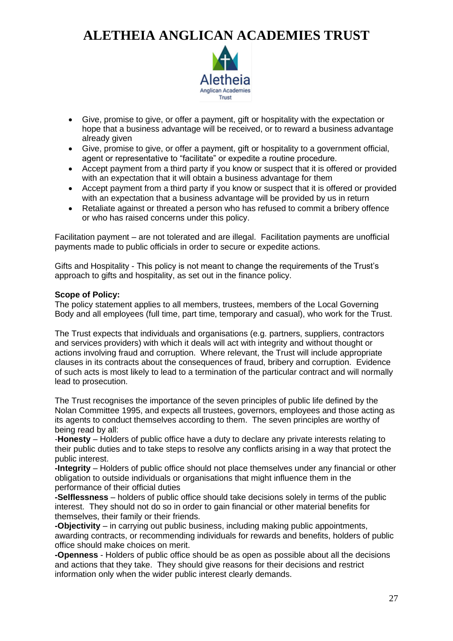

- Give, promise to give, or offer a payment, gift or hospitality with the expectation or hope that a business advantage will be received, or to reward a business advantage already given
- Give, promise to give, or offer a payment, gift or hospitality to a government official, agent or representative to "facilitate" or expedite a routine procedure.
- Accept payment from a third party if you know or suspect that it is offered or provided with an expectation that it will obtain a business advantage for them
- Accept payment from a third party if you know or suspect that it is offered or provided with an expectation that a business advantage will be provided by us in return
- Retaliate against or threated a person who has refused to commit a bribery offence or who has raised concerns under this policy.

Facilitation payment – are not tolerated and are illegal. Facilitation payments are unofficial payments made to public officials in order to secure or expedite actions.

Gifts and Hospitality - This policy is not meant to change the requirements of the Trust's approach to gifts and hospitality, as set out in the finance policy.

### **Scope of Policy:**

The policy statement applies to all members, trustees, members of the Local Governing Body and all employees (full time, part time, temporary and casual), who work for the Trust.

The Trust expects that individuals and organisations (e.g. partners, suppliers, contractors and services providers) with which it deals will act with integrity and without thought or actions involving fraud and corruption. Where relevant, the Trust will include appropriate clauses in its contracts about the consequences of fraud, bribery and corruption. Evidence of such acts is most likely to lead to a termination of the particular contract and will normally lead to prosecution.

The Trust recognises the importance of the seven principles of public life defined by the Nolan Committee 1995, and expects all trustees, governors, employees and those acting as its agents to conduct themselves according to them. The seven principles are worthy of being read by all:

-**Honesty** – Holders of public office have a duty to declare any private interests relating to their public duties and to take steps to resolve any conflicts arising in a way that protect the public interest.

**-Integrity** – Holders of public office should not place themselves under any financial or other obligation to outside individuals or organisations that might influence them in the performance of their official duties

**-Selflessness** – holders of public office should take decisions solely in terms of the public interest. They should not do so in order to gain financial or other material benefits for themselves, their family or their friends.

**-Objectivity** – in carrying out public business, including making public appointments, awarding contracts, or recommending individuals for rewards and benefits, holders of public office should make choices on merit.

**-Openness** - Holders of public office should be as open as possible about all the decisions and actions that they take. They should give reasons for their decisions and restrict information only when the wider public interest clearly demands.